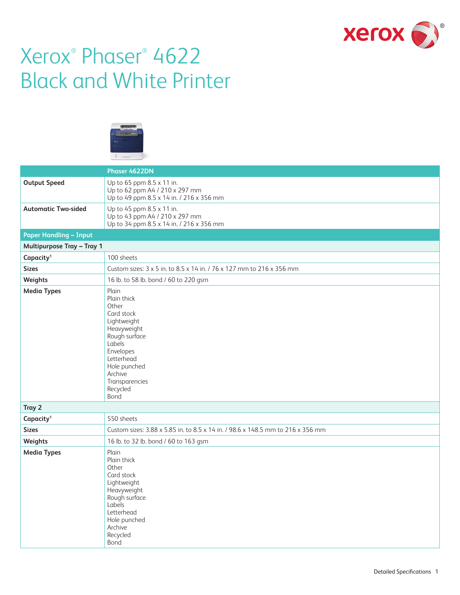

# Xerox® Phaser® 4622 Black and White Printer



|                                   | Phaser 4622DN                                                                                                                                                                                    |
|-----------------------------------|--------------------------------------------------------------------------------------------------------------------------------------------------------------------------------------------------|
| <b>Output Speed</b>               | Up to 65 ppm 8.5 x 11 in.<br>Up to 62 ppm A4 / 210 x 297 mm<br>Up to 49 ppm 8.5 x 14 in. / 216 x 356 mm                                                                                          |
| <b>Automatic Two-sided</b>        | Up to 45 ppm 8.5 x 11 in.<br>Up to 43 ppm A4 / 210 x 297 mm<br>Up to 34 ppm 8.5 x 14 in. / 216 x 356 mm                                                                                          |
| <b>Paper Handling - Input</b>     |                                                                                                                                                                                                  |
| <b>Multipurpose Tray - Tray 1</b> |                                                                                                                                                                                                  |
| Capacity <sup>1</sup>             | 100 sheets                                                                                                                                                                                       |
| <b>Sizes</b>                      | Custom sizes: 3 x 5 in. to 8.5 x 14 in. / 76 x 127 mm to 216 x 356 mm                                                                                                                            |
| Weights                           | 16 lb. to 58 lb. bond / 60 to 220 gsm                                                                                                                                                            |
| <b>Media Types</b>                | Plain<br>Plain thick<br>Other<br>Card stock<br>Lightweight<br>Heavyweight<br>Rough surface<br>Labels<br>Envelopes<br>Letterhead<br>Hole punched<br>Archive<br>Transparencies<br>Recycled<br>Bond |
| Tray 2                            |                                                                                                                                                                                                  |
| Capacity <sup>1</sup>             | 550 sheets                                                                                                                                                                                       |
| <b>Sizes</b>                      | Custom sizes: 3.88 x 5.85 in. to 8.5 x 14 in. / 98.6 x 148.5 mm to 216 x 356 mm                                                                                                                  |
| Weights                           | 16 lb. to 32 lb. bond / 60 to 163 gsm                                                                                                                                                            |
| <b>Media Types</b>                | Plain<br>Plain thick<br>Other<br>Card stock<br>Lightweight<br>Heavyweight<br>Rough surface<br>Labels<br>Letterhead<br>Hole punched<br>Archive<br>Recycled<br><b>Bond</b>                         |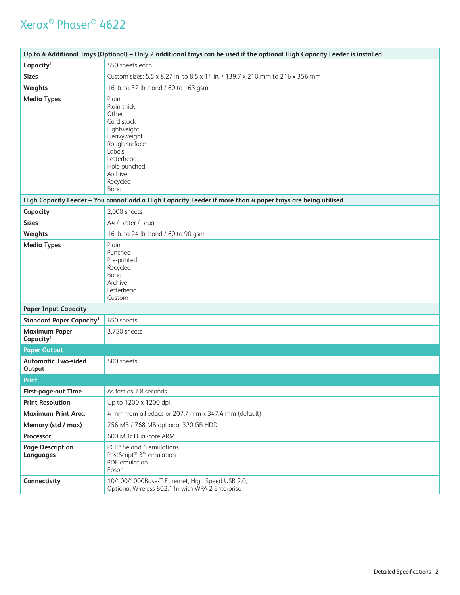| Up to 4 Additional Trays (Optional) - Only 2 additional trays can be used if the optional High Capacity Feeder is installed |                                                                                                                                                                   |  |  |
|-----------------------------------------------------------------------------------------------------------------------------|-------------------------------------------------------------------------------------------------------------------------------------------------------------------|--|--|
| Capacity <sup>1</sup>                                                                                                       | 550 sheets each                                                                                                                                                   |  |  |
| <b>Sizes</b>                                                                                                                | Custom sizes: 5.5 x 8.27 in. to 8.5 x 14 in. / 139.7 x 210 mm to 216 x 356 mm                                                                                     |  |  |
| Weights                                                                                                                     | 16 lb. to 32 lb. bond / 60 to 163 gsm                                                                                                                             |  |  |
| <b>Media Types</b>                                                                                                          | Plain<br>Plain thick<br>Other<br>Card stock<br>Lightweight<br>Heavyweight<br>Rough surface<br>Labels<br>Letterhead<br>Hole punched<br>Archive<br>Recycled<br>Bond |  |  |
|                                                                                                                             | High Capacity Feeder - You cannot add a High Capacity Feeder if more than 4 paper trays are being utilised.                                                       |  |  |
| Capacity                                                                                                                    | 2,000 sheets                                                                                                                                                      |  |  |
| <b>Sizes</b>                                                                                                                | A4 / Letter / Legal                                                                                                                                               |  |  |
| Weights                                                                                                                     | 16 lb. to 24 lb. bond / 60 to 90 gsm                                                                                                                              |  |  |
| <b>Media Types</b>                                                                                                          | Plain<br>Punched<br>Pre-printed<br>Recycled<br>Bond<br>Archive<br>Letterhead<br>Custom                                                                            |  |  |
| <b>Paper Input Capacity</b>                                                                                                 |                                                                                                                                                                   |  |  |
| <b>Standard Paper Capacity<sup>1</sup></b>                                                                                  | 650 sheets                                                                                                                                                        |  |  |
| <b>Maximum Paper</b><br>Capacity <sup>1</sup>                                                                               | 3,750 sheets                                                                                                                                                      |  |  |
| <b>Paper Output</b>                                                                                                         |                                                                                                                                                                   |  |  |
| <b>Automatic Two-sided</b><br>Output                                                                                        | 500 sheets                                                                                                                                                        |  |  |
| <b>Print</b>                                                                                                                |                                                                                                                                                                   |  |  |
| First-page-out Time                                                                                                         | As fast as 7.8 seconds                                                                                                                                            |  |  |
| <b>Print Resolution</b>                                                                                                     | Up to 1200 x 1200 dpi                                                                                                                                             |  |  |
| <b>Maximum Print Area</b>                                                                                                   | 4 mm from all edges or 207.7 mm x 347.4 mm (default)                                                                                                              |  |  |
| Memory (std / max)                                                                                                          | 256 MB / 768 MB optional 320 GB HDD                                                                                                                               |  |  |
| Processor                                                                                                                   | 600 MHz Dual-core ARM                                                                                                                                             |  |  |
| <b>Page Description</b><br>Languages                                                                                        | PCL <sup>®</sup> 5e and 6 emulations<br>PostScript <sup>®</sup> 3 <sup>™</sup> emulation<br>PDF emulation<br>Epson                                                |  |  |
| Connectivity                                                                                                                | 10/100/1000Base-T Ethernet, High Speed USB 2.0,<br>Optional Wireless 802.11n with WPA 2 Enterprise                                                                |  |  |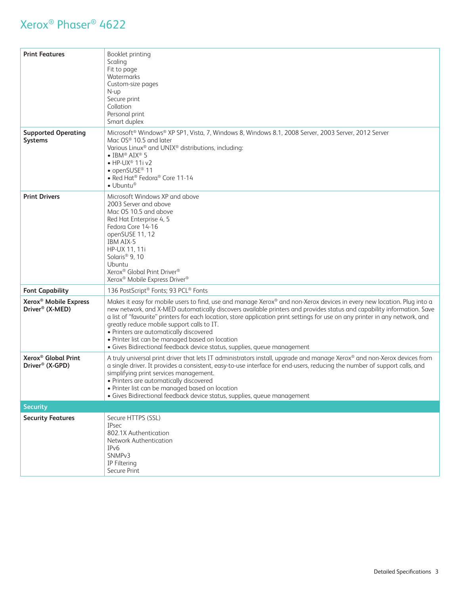| <b>Print Features</b>                                            | Booklet printing<br>Scaling<br>Fit to page<br>Watermarks<br>Custom-size pages<br>N-up<br>Secure print<br>Collation<br>Personal print<br>Smart duplex                                                                                                                                                                                                                                                                                                                                                                                                                                                      |
|------------------------------------------------------------------|-----------------------------------------------------------------------------------------------------------------------------------------------------------------------------------------------------------------------------------------------------------------------------------------------------------------------------------------------------------------------------------------------------------------------------------------------------------------------------------------------------------------------------------------------------------------------------------------------------------|
| <b>Supported Operating</b><br><b>Systems</b>                     | Microsoft® Windows® XP SP1, Vista, 7, Windows 8, Windows 8.1, 2008 Server, 2003 Server, 2012 Server<br>Mac OS® 10.5 and later<br>Various Linux® and UNIX® distributions, including:<br>$\bullet$ IBM® AIX® 5<br>$\bullet$ HP-UX <sup>®</sup> 11i v2<br>• openSUSE <sup>®</sup> 11<br>• Red Hat <sup>®</sup> Fedora® Core 11-14<br>$\bullet$ Ubuntu®                                                                                                                                                                                                                                                       |
| <b>Print Drivers</b>                                             | Microsoft Windows XP and above<br>2003 Server and above<br>Mac OS 10.5 and above<br>Red Hat Enterprise 4, 5<br>Fedora Core 14-16<br>openSUSE 11, 12<br>IBM AIX-5<br>HP-UX 11, 11i<br>Solaris <sup>®</sup> 9, 10<br>Ubuntu<br>Xerox® Global Print Driver®<br>Xerox® Mobile Express Driver®                                                                                                                                                                                                                                                                                                                 |
| <b>Font Capability</b>                                           | 136 PostScript® Fonts; 93 PCL® Fonts                                                                                                                                                                                                                                                                                                                                                                                                                                                                                                                                                                      |
| Xerox <sup>®</sup> Mobile Express<br>Driver <sup>®</sup> (X-MED) | Makes it easy for mobile users to find, use and manage Xerox® and non-Xerox devices in every new location. Plug into a<br>new network, and X-MED automatically discovers available printers and provides status and capability information. Save<br>a list of "favourite" printers for each location, store application print settings for use on any printer in any network, and<br>greatly reduce mobile support calls to IT.<br>• Printers are automatically discovered<br>• Printer list can be managed based on location<br>· Gives Bidirectional feedback device status, supplies, queue management |
| Xerox <sup>®</sup> Global Print<br>Driver <sup>®</sup> (X-GPD)   | A truly universal print driver that lets IT administrators install, upgrade and manage Xerox® and non-Xerox devices from<br>a single driver. It provides a consistent, easy-to-use interface for end-users, reducing the number of support calls, and<br>simplifying print services management.<br>• Printers are automatically discovered<br>· Printer list can be managed based on location<br>· Gives Bidirectional feedback device status, supplies, queue management                                                                                                                                 |
| <b>Security</b>                                                  |                                                                                                                                                                                                                                                                                                                                                                                                                                                                                                                                                                                                           |
| <b>Security Features</b>                                         | Secure HTTPS (SSL)<br><b>IPsec</b><br>802.1X Authentication<br>Network Authentication<br>IP <sub>v</sub> 6<br>SNMP <sub>v3</sub><br>IP Filtering<br>Secure Print                                                                                                                                                                                                                                                                                                                                                                                                                                          |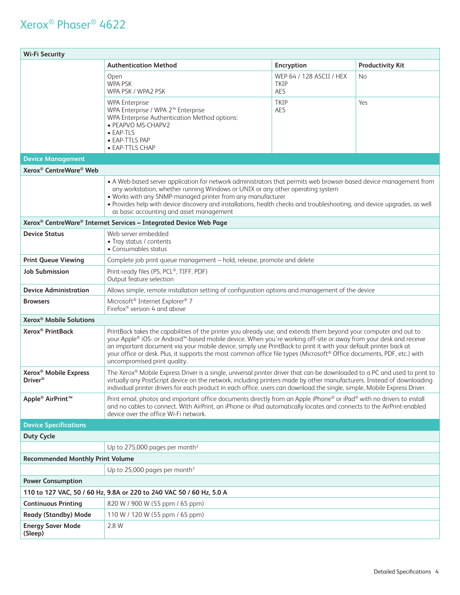| <b>Wi-Fi Security</b>                                                |                                                                                                                                                                                                                                                                                                                                                                                                                                                                                                                      |                                                                                                  |                         |  |  |
|----------------------------------------------------------------------|----------------------------------------------------------------------------------------------------------------------------------------------------------------------------------------------------------------------------------------------------------------------------------------------------------------------------------------------------------------------------------------------------------------------------------------------------------------------------------------------------------------------|--------------------------------------------------------------------------------------------------|-------------------------|--|--|
|                                                                      | <b>Authentication Method</b>                                                                                                                                                                                                                                                                                                                                                                                                                                                                                         | <b>Encryption</b>                                                                                | <b>Productivity Kit</b> |  |  |
|                                                                      | Open<br><b>WPA PSK</b><br>WPA PSK / WPA2 PSK                                                                                                                                                                                                                                                                                                                                                                                                                                                                         | WEP 64 / 128 ASCII / HEX<br>TKIP<br>AES                                                          | No.                     |  |  |
|                                                                      | <b>WPA Enterprise</b><br>WPA Enterprise / WPA 2 <sup>™</sup> Enterprise<br>WPA Enterprise Authentication Method options:<br>• PEAPVO MS-CHAPV2<br>• EAP-TLS<br>• EAP-TTLS PAP<br>• EAP-TTLS CHAP                                                                                                                                                                                                                                                                                                                     | <b>TKIP</b><br>AES                                                                               | Yes                     |  |  |
| <b>Device Management</b>                                             |                                                                                                                                                                                                                                                                                                                                                                                                                                                                                                                      |                                                                                                  |                         |  |  |
| Xerox <sup>®</sup> CentreWare <sup>®</sup> Web                       |                                                                                                                                                                                                                                                                                                                                                                                                                                                                                                                      |                                                                                                  |                         |  |  |
|                                                                      | • A Web-based server application for network administrators that permits web browser-based device management from<br>any workstation, whether running Windows or UNIX or any other operating system<br>. Works with any SNMP-managed printer from any manufacturer<br>• Provides help with device discovery and installations, health checks and troubleshooting, and device upgrades, as well<br>as basic accounting and asset management                                                                           |                                                                                                  |                         |  |  |
|                                                                      | Xerox <sup>®</sup> CentreWare <sup>®</sup> Internet Services - Integrated Device Web Page                                                                                                                                                                                                                                                                                                                                                                                                                            |                                                                                                  |                         |  |  |
| <b>Device Status</b>                                                 | Web server embedded<br>• Tray status / contents<br>• Consumables status                                                                                                                                                                                                                                                                                                                                                                                                                                              |                                                                                                  |                         |  |  |
| <b>Print Queue Viewing</b>                                           | Complete job print queue management - hold, release, promote and delete                                                                                                                                                                                                                                                                                                                                                                                                                                              |                                                                                                  |                         |  |  |
| <b>Job Submission</b>                                                | Print-ready files (PS, PCL®, TIFF, PDF)<br>Output feature selection                                                                                                                                                                                                                                                                                                                                                                                                                                                  |                                                                                                  |                         |  |  |
| <b>Device Administration</b>                                         |                                                                                                                                                                                                                                                                                                                                                                                                                                                                                                                      | Allows simple, remote installation setting of configuration options and management of the device |                         |  |  |
| <b>Browsers</b>                                                      | Microsoft <sup>®</sup> Internet Explorer® 7<br>Firefox <sup>®</sup> version 4 and above                                                                                                                                                                                                                                                                                                                                                                                                                              |                                                                                                  |                         |  |  |
| Xerox <sup>®</sup> Mobile Solutions                                  |                                                                                                                                                                                                                                                                                                                                                                                                                                                                                                                      |                                                                                                  |                         |  |  |
| Xerox <sup>®</sup> PrintBack                                         | PrintBack takes the capabilities of the printer you already use, and extends them beyond your computer and out to<br>your Apple® iOS- or Android™-based mobile device. When you're working off-site or away from your desk and receive<br>an important document via your mobile device, simply use PrintBack to print it with your default printer back at<br>your office or desk. Plus, it supports the most common office file types (Microsoft® Office documents, PDF, etc.) with<br>uncompromised print quality. |                                                                                                  |                         |  |  |
| Xerox <sup>®</sup> Mobile Express<br>Driver <sup>®</sup>             | The Xerox® Mobile Express Driver is a single, universal printer driver that can be downloaded to a PC and used to print to<br>virtually any PostScript device on the network, including printers made by other manufacturers. Instead of downloading<br>individual printer drivers for each product in each office, users can download the single, simple, Mobile Express Driver.                                                                                                                                    |                                                                                                  |                         |  |  |
| Apple <sup>®</sup> AirPrint <sup>™</sup>                             | Print email, photos and important office documents directly from an Apple iPhone® or iPad® with no drivers to install<br>and no cables to connect. With AirPrint, an iPhone or iPad automatically locates and connects to the AirPrint-enabled<br>device over the office Wi-Fi network.                                                                                                                                                                                                                              |                                                                                                  |                         |  |  |
| <b>Device Specifications</b>                                         |                                                                                                                                                                                                                                                                                                                                                                                                                                                                                                                      |                                                                                                  |                         |  |  |
| <b>Duty Cycle</b>                                                    |                                                                                                                                                                                                                                                                                                                                                                                                                                                                                                                      |                                                                                                  |                         |  |  |
|                                                                      | Up to 275,000 pages per month <sup>2</sup>                                                                                                                                                                                                                                                                                                                                                                                                                                                                           |                                                                                                  |                         |  |  |
| <b>Recommended Monthly Print Volume</b>                              |                                                                                                                                                                                                                                                                                                                                                                                                                                                                                                                      |                                                                                                  |                         |  |  |
|                                                                      | Up to 25,000 pages per month $3$                                                                                                                                                                                                                                                                                                                                                                                                                                                                                     |                                                                                                  |                         |  |  |
| <b>Power Consumption</b>                                             |                                                                                                                                                                                                                                                                                                                                                                                                                                                                                                                      |                                                                                                  |                         |  |  |
| 110 to 127 VAC, 50 / 60 Hz, 9.8A or 220 to 240 VAC 50 / 60 Hz, 5.0 A |                                                                                                                                                                                                                                                                                                                                                                                                                                                                                                                      |                                                                                                  |                         |  |  |
| <b>Continuous Printing</b>                                           | 820 W / 900 W (55 ppm / 65 ppm)                                                                                                                                                                                                                                                                                                                                                                                                                                                                                      |                                                                                                  |                         |  |  |
| <b>Ready (Standby) Mode</b>                                          | 110 W / 120 W (55 ppm / 65 ppm)                                                                                                                                                                                                                                                                                                                                                                                                                                                                                      |                                                                                                  |                         |  |  |
| <b>Energy Saver Mode</b><br>(Sleep)                                  | 2.8 W                                                                                                                                                                                                                                                                                                                                                                                                                                                                                                                |                                                                                                  |                         |  |  |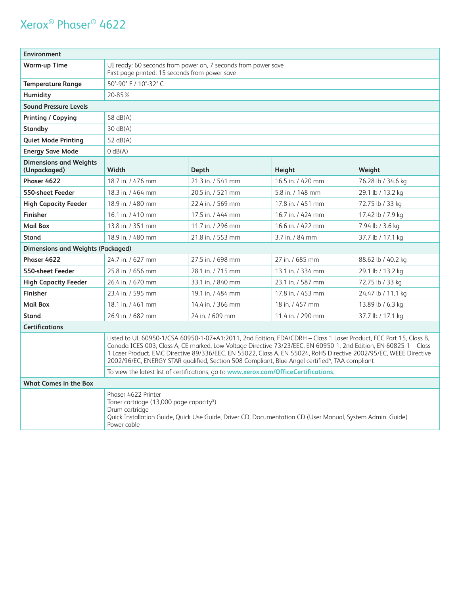| <b>Environment</b>                                                                                                                                                                                                        |                                                                                                                                                                                                                                                                                                                                                                                                                                                                            |                                                                                      |                   |                    |  |
|---------------------------------------------------------------------------------------------------------------------------------------------------------------------------------------------------------------------------|----------------------------------------------------------------------------------------------------------------------------------------------------------------------------------------------------------------------------------------------------------------------------------------------------------------------------------------------------------------------------------------------------------------------------------------------------------------------------|--------------------------------------------------------------------------------------|-------------------|--------------------|--|
| <b>Warm-up Time</b>                                                                                                                                                                                                       | UI ready: 60 seconds from power on, 7 seconds from power save<br>First page printed: 15 seconds from power save                                                                                                                                                                                                                                                                                                                                                            |                                                                                      |                   |                    |  |
| <b>Temperature Range</b>                                                                                                                                                                                                  | 50°-90° F / 10°-32° C                                                                                                                                                                                                                                                                                                                                                                                                                                                      |                                                                                      |                   |                    |  |
| Humidity                                                                                                                                                                                                                  | 20-85%                                                                                                                                                                                                                                                                                                                                                                                                                                                                     |                                                                                      |                   |                    |  |
| <b>Sound Pressure Levels</b>                                                                                                                                                                                              |                                                                                                                                                                                                                                                                                                                                                                                                                                                                            |                                                                                      |                   |                    |  |
| <b>Printing / Copying</b>                                                                                                                                                                                                 | 58 dB(A)                                                                                                                                                                                                                                                                                                                                                                                                                                                                   |                                                                                      |                   |                    |  |
| <b>Standby</b>                                                                                                                                                                                                            | 30 dB(A)                                                                                                                                                                                                                                                                                                                                                                                                                                                                   |                                                                                      |                   |                    |  |
| <b>Quiet Mode Printing</b>                                                                                                                                                                                                | 52 $dB(A)$                                                                                                                                                                                                                                                                                                                                                                                                                                                                 |                                                                                      |                   |                    |  |
| <b>Energy Save Mode</b>                                                                                                                                                                                                   | $O$ dB $(A)$                                                                                                                                                                                                                                                                                                                                                                                                                                                               |                                                                                      |                   |                    |  |
| <b>Dimensions and Weights</b><br>(Unpackaged)                                                                                                                                                                             | Width                                                                                                                                                                                                                                                                                                                                                                                                                                                                      | Depth                                                                                | Height            | Weight             |  |
| Phaser 4622                                                                                                                                                                                                               | 18.7 in. / 476 mm                                                                                                                                                                                                                                                                                                                                                                                                                                                          | 21.3 in. / 541 mm                                                                    | 16.5 in. / 420 mm | 76.28 lb / 34.6 kg |  |
| 550-sheet Feeder                                                                                                                                                                                                          | 18.3 in. / 464 mm                                                                                                                                                                                                                                                                                                                                                                                                                                                          | 20.5 in. / 521 mm                                                                    | 5.8 in. / 148 mm  | 29.1 lb / 13.2 kg  |  |
| <b>High Capacity Feeder</b>                                                                                                                                                                                               | 18.9 in. / 480 mm                                                                                                                                                                                                                                                                                                                                                                                                                                                          | 22.4 in. / 569 mm                                                                    | 17.8 in. / 451 mm | 72.75 lb / 33 kg   |  |
| <b>Finisher</b>                                                                                                                                                                                                           | 16.1 in. / 410 mm                                                                                                                                                                                                                                                                                                                                                                                                                                                          | 17.5 in / 444 mm                                                                     | 16.7 in / 424 mm  | 17.42 lb / 7.9 kg  |  |
| <b>Mail Box</b>                                                                                                                                                                                                           | 13.8 in. / 351 mm                                                                                                                                                                                                                                                                                                                                                                                                                                                          | 11.7 in. / 296 mm                                                                    | 16.6 in. / 422 mm | 7.94 lb / 3.6 kg   |  |
| <b>Stand</b>                                                                                                                                                                                                              | 18.9 in. / 480 mm                                                                                                                                                                                                                                                                                                                                                                                                                                                          | 21.8 in. / 553 mm                                                                    | 3.7 in. / 84 mm   | 37.7 lb / 17.1 kg  |  |
| <b>Dimensions and Weights (Packaged)</b>                                                                                                                                                                                  |                                                                                                                                                                                                                                                                                                                                                                                                                                                                            |                                                                                      |                   |                    |  |
| Phaser 4622                                                                                                                                                                                                               | 24.7 in. / 627 mm                                                                                                                                                                                                                                                                                                                                                                                                                                                          | 27.5 in. / 698 mm                                                                    | 27 in. / 685 mm   | 88.62 lb / 40.2 kg |  |
| 550-sheet Feeder                                                                                                                                                                                                          | 25.8 in. / 656 mm                                                                                                                                                                                                                                                                                                                                                                                                                                                          | 28.1 in. / 715 mm                                                                    | 13.1 in. / 334 mm | 29.1 lb / 13.2 kg  |  |
| <b>High Capacity Feeder</b>                                                                                                                                                                                               | 26.4 in. / 670 mm                                                                                                                                                                                                                                                                                                                                                                                                                                                          | 33.1 in. / 840 mm                                                                    | 23.1 in. / 587 mm | 72.75 lb / 33 kg   |  |
| <b>Finisher</b>                                                                                                                                                                                                           | 23.4 in. / 595 mm                                                                                                                                                                                                                                                                                                                                                                                                                                                          | 19.1 in. / 484 mm                                                                    | 17.8 in. / 453 mm | 24.47 lb / 11.1 kg |  |
| <b>Mail Box</b>                                                                                                                                                                                                           | 18.1 in. / 461 mm                                                                                                                                                                                                                                                                                                                                                                                                                                                          | 14.4 in. / 366 mm                                                                    | 18 in. / 457 mm   | 13.89 lb / 6.3 kg  |  |
| <b>Stand</b>                                                                                                                                                                                                              | 26.9 in. / 682 mm                                                                                                                                                                                                                                                                                                                                                                                                                                                          | 24 in. / 609 mm                                                                      | 11.4 in. / 290 mm | 37.7 lb / 17.1 kg  |  |
| <b>Certifications</b>                                                                                                                                                                                                     |                                                                                                                                                                                                                                                                                                                                                                                                                                                                            |                                                                                      |                   |                    |  |
|                                                                                                                                                                                                                           | Listed to UL 60950-1/CSA 60950-1-07+A1:2011, 2nd Edition, FDA/CDRH - Class 1 Laser Product, FCC Part 15, Class B,<br>Canada ICES-003, Class A, CE marked, Low Voltage Directive 73/23/EEC, EN 60950-1, 2nd Edition, EN 60825-1 - Class<br>1 Laser Product, EMC Directive 89/336/EEC, EN 55022, Class A, EN 55024, RoHS Directive 2002/95/EC, WEEE Directive<br>2002/96/EC, ENERGY STAR qualified, Section 508 Compliant, Blue Angel certified <sup>4</sup> , TAA compliant |                                                                                      |                   |                    |  |
|                                                                                                                                                                                                                           |                                                                                                                                                                                                                                                                                                                                                                                                                                                                            | To view the latest list of certifications, go to www.xerox.com/OfficeCertifications. |                   |                    |  |
| <b>What Comes in the Box</b>                                                                                                                                                                                              |                                                                                                                                                                                                                                                                                                                                                                                                                                                                            |                                                                                      |                   |                    |  |
| Phaser 4622 Printer<br>Toner cartridge (13,000 page capacity <sup>5</sup> )<br>Drum cartridge<br>Quick Installation Guide, Quick Use Guide, Driver CD, Documentation CD (User Manual, System Admin. Guide)<br>Power cable |                                                                                                                                                                                                                                                                                                                                                                                                                                                                            |                                                                                      |                   |                    |  |